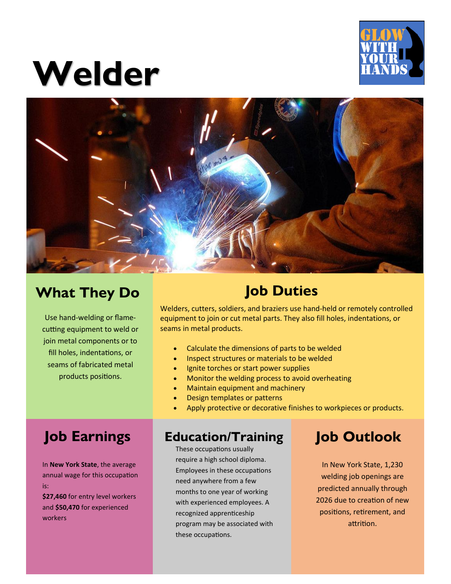

# **Welder**



# **What They Do**

Use hand-welding or flamecutting equipment to weld or join metal components or to fill holes, indentations, or seams of fabricated metal products positions.

# **Job Duties**

Welders, cutters, soldiers, and braziers use hand-held or remotely controlled equipment to join or cut metal parts. They also fill holes, indentations, or seams in metal products.

- Calculate the dimensions of parts to be welded
- Inspect structures or materials to be welded
- Ignite torches or start power supplies
- Monitor the welding process to avoid overheating
- Maintain equipment and machinery
- Design templates or patterns
- Apply protective or decorative finishes to workpieces or products.

# **Job Earnings**

In **New York State**, the average annual wage for this occupation is:

**\$27,460** for entry level workers and **\$50,470** for experienced workers

### **Education/Training Job Outlook**

**Education Committed Committee Committee School diploma.** These occupations usually Employees in these occupations need anywhere from a few months to one year of working with experienced employees. A recognized apprenticeship program may be associated with these occupations.

In New York State, 1,230 welding job openings are predicted annually through 2026 due to creation of new positions, retirement, and attrition.